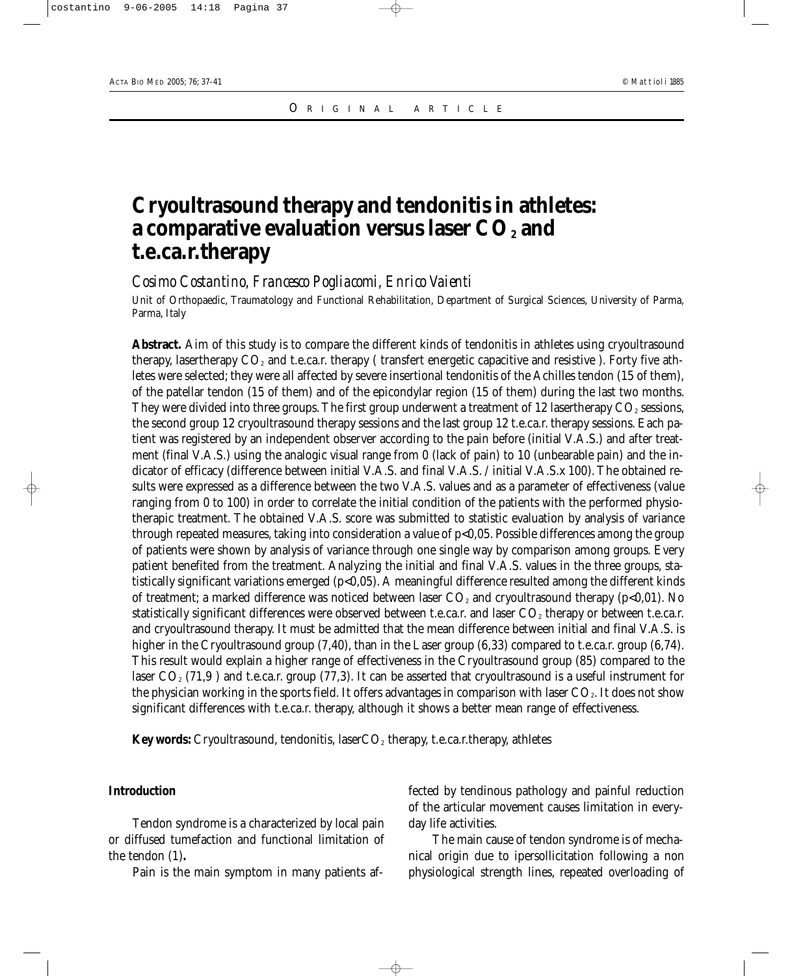# **Cryoultrasound therapy and tendonitis in athletes:** a comparative evaluation versus laser CO<sub>2</sub> and **t.e.ca.r.therapy**

*Cosimo Costantino, Francesco Pogliacomi, Enrico Vaienti*

Unit of Orthopaedic, Traumatology and Functional Rehabilitation, Department of Surgical Sciences, University of Parma, Parma, Italy

Abstract. Aim of this study is to compare the different kinds of tendonitis in athletes using cryoultrasound therapy, lasertherapy  $CO<sub>2</sub>$  and t.e.ca.r. therapy (transfert energetic capacitive and resistive ). Forty five athletes were selected; they were all affected by severe insertional tendonitis of the Achilles tendon (15 of them), of the patellar tendon (15 of them) and of the epicondylar region (15 of them) during the last two months. They were divided into three groups. The first group underwent a treatment of 12 lasertherapy  $CO<sub>2</sub>$  sessions, the second group 12 cryoultrasound therapy sessions and the last group 12 t.e.ca.r. therapy sessions. Each patient was registered by an independent observer according to the pain before (initial V.A.S.) and after treatment (final V.A.S.) using the analogic visual range from 0 (lack of pain) to 10 (unbearable pain) and the indicator of efficacy (difference between initial V.A.S. and final V.A.S. / initial V.A.S.x 100). The obtained results were expressed as a difference between the two V.A.S. values and as a parameter of effectiveness (value ranging from 0 to 100) in order to correlate the initial condition of the patients with the performed physiotherapic treatment. The obtained V.A.S. score was submitted to statistic evaluation by analysis of variance through repeated measures, taking into consideration a value of p<0,05. Possible differences among the group of patients were shown by analysis of variance through one single way by comparison among groups. Every patient benefited from the treatment. Analyzing the initial and final V.A.S. values in the three groups, statistically significant variations emerged (p<0,05). A meaningful difference resulted among the different kinds of treatment; a marked difference was noticed between laser  $CO<sub>2</sub>$  and cryoultrasound therapy (p<0,01). No statistically significant differences were observed between t.e.ca.r. and laser  $CO<sub>2</sub>$  therapy or between t.e.ca.r. and cryoultrasound therapy. It must be admitted that the mean difference between initial and final V.A.S. is higher in the Cryoultrasound group (7,40), than in the Laser group (6,33) compared to t.e.ca.r. group (6,74). This result would explain a higher range of effectiveness in the Cryoultrasound group (85) compared to the laser  $CO_2$  (71,9) and t.e.ca.r. group (77,3). It can be asserted that cryoultrasound is a useful instrument for the physician working in the sports field. It offers advantages in comparison with laser  $CO<sub>2</sub>$ . It does not show significant differences with t.e.ca.r. therapy, although it shows a better mean range of effectiveness.

**Key words:** Cryoultrasound, tendonitis, laser $CO<sub>2</sub>$  therapy, t.e.ca.r.therapy, athletes

# **Introduction**

Tendon syndrome is a characterized by local pain or diffused tumefaction and functional limitation of the tendon (1)**.**

Pain is the main symptom in many patients af-

fected by tendinous pathology and painful reduction of the articular movement causes limitation in everyday life activities.

The main cause of tendon syndrome is of mechanical origin due to ipersollicitation following a non physiological strength lines, repeated overloading of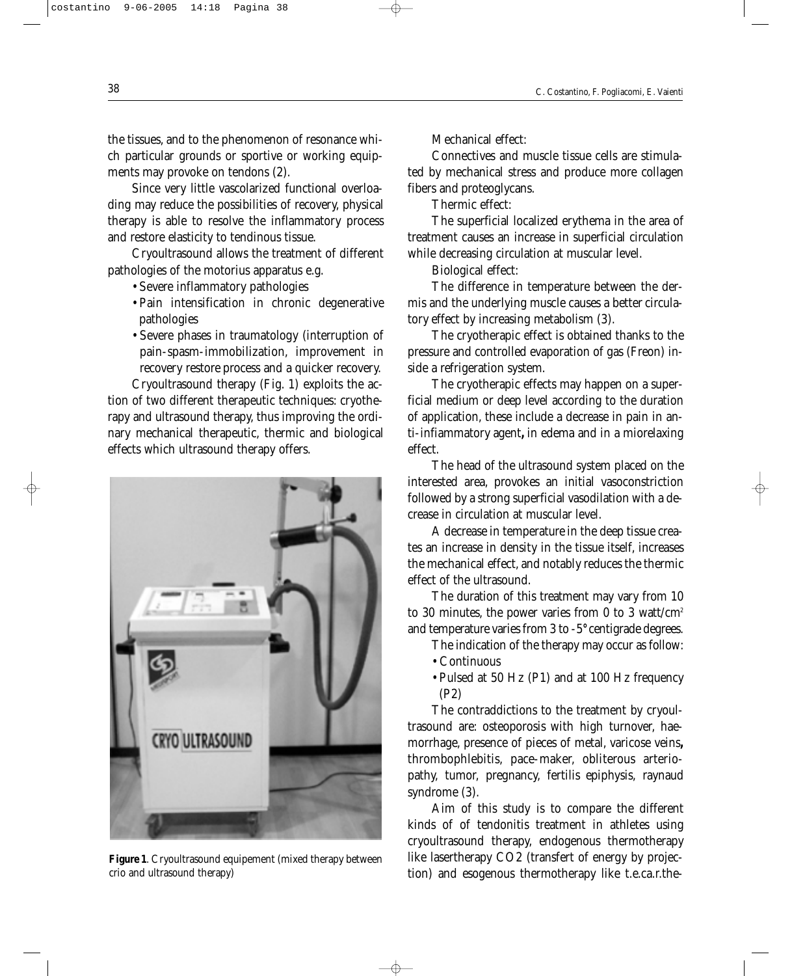the tissues, and to the phenomenon of resonance which particular grounds or sportive or working equipments may provoke on tendons (2).

Since very little vascolarized functional overloading may reduce the possibilities of recovery, physical therapy is able to resolve the inflammatory process and restore elasticity to tendinous tissue.

Cryoultrasound allows the treatment of different pathologies of the motorius apparatus e.g.

- Severe inflammatory pathologies
- Pain intensification in chronic degenerative pathologies
- Severe phases in traumatology (interruption of pain-spasm-immobilization, improvement in recovery restore process and a quicker recovery.

Cryoultrasound therapy (Fig. 1) exploits the action of two different therapeutic techniques: cryotherapy and ultrasound therapy, thus improving the ordinary mechanical therapeutic, thermic and biological effects which ultrasound therapy offers.



**Figure 1**. Cryoultrasound equipement (mixed therapy between crio and ultrasound therapy)

Mechanical effect:

Connectives and muscle tissue cells are stimulated by mechanical stress and produce more collagen fibers and proteoglycans.

Thermic effect:

The superficial localized erythema in the area of treatment causes an increase in superficial circulation while decreasing circulation at muscular level.

Biological effect:

The difference in temperature between the dermis and the underlying muscle causes a better circulatory effect by increasing metabolism (3).

The cryotherapic effect is obtained thanks to the pressure and controlled evaporation of gas (Freon) inside a refrigeration system.

The cryotherapic effects may happen on a superficial medium or deep level according to the duration of application, these include a decrease in pain in anti-infiammatory agent**,** in edema and in a miorelaxing effect.

The head of the ultrasound system placed on the interested area, provokes an initial vasoconstriction followed by a strong superficial vasodilation with a decrease in circulation at muscular level.

A decrease in temperature in the deep tissue creates an increase in density in the tissue itself, increases the mechanical effect, and notably reduces the thermic effect of the ultrasound.

The duration of this treatment may vary from 10 to 30 minutes, the power varies from 0 to 3 watt/ $\text{cm}^2$ and temperature varies from 3 to -5**°** centigrade degrees.

The indication of the therapy may occur as follow:

- Continuous
- Pulsed at 50 Hz (P1) and at 100 Hz frequency (P2)

The contraddictions to the treatment by cryoultrasound are: osteoporosis with high turnover, haemorrhage, presence of pieces of metal, varicose veins**,** thrombophlebitis, pace-maker, obliterous arteriopathy, tumor, pregnancy, fertilis epiphysis, raynaud syndrome (3).

Aim of this study is to compare the different kinds of of tendonitis treatment in athletes using cryoultrasound therapy, endogenous thermotherapy like lasertherapy CO2 (transfert of energy by projection) and esogenous thermotherapy like t.e.ca.r.the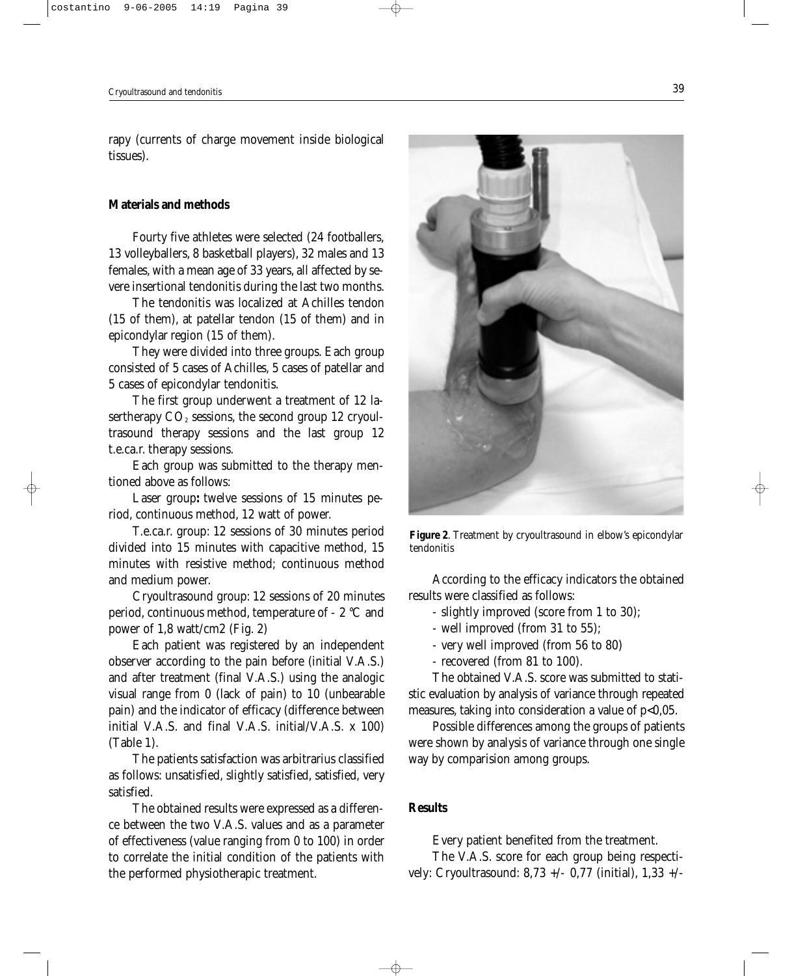rapy (currents of charge movement inside biological tissues).

### **Materials and methods**

Fourty five athletes were selected (24 footballers, 13 volleyballers, 8 basketball players), 32 males and 13 females, with a mean age of 33 years, all affected by severe insertional tendonitis during the last two months.

The tendonitis was localized at Achilles tendon (15 of them), at patellar tendon (15 of them) and in epicondylar region (15 of them).

They were divided into three groups. Each group consisted of 5 cases of Achilles, 5 cases of patellar and 5 cases of epicondylar tendonitis.

The first group underwent a treatment of 12 lasertherapy  $CO<sub>2</sub>$  sessions, the second group 12 cryoultrasound therapy sessions and the last group 12 t.e.ca.r. therapy sessions.

Each group was submitted to the therapy mentioned above as follows:

Laser group**:** twelve sessions of 15 minutes period, continuous method, 12 watt of power.

T.e.ca.r. group: 12 sessions of 30 minutes period divided into 15 minutes with capacitive method, 15 minutes with resistive method; continuous method and medium power.

Cryoultrasound group: 12 sessions of 20 minutes period, continuous method, temperature of - 2 °C and power of 1,8 watt/cm2 (Fig. 2)

Each patient was registered by an independent observer according to the pain before (initial V.A.S.) and after treatment (final V.A.S.) using the analogic visual range from 0 (lack of pain) to 10 (unbearable pain) and the indicator of efficacy (difference between initial V.A.S. and final V.A.S. initial/V.A.S. x 100) (Table 1).

The patients satisfaction was arbitrarius classified as follows: unsatisfied, slightly satisfied, satisfied, very satisfied.

The obtained results were expressed as a difference between the two V.A.S. values and as a parameter of effectiveness (value ranging from 0 to 100) in order to correlate the initial condition of the patients with the performed physiotherapic treatment.



**Figure 2**. Treatment by cryoultrasound in elbow's epicondylar tendonitis

According to the efficacy indicators the obtained results were classified as follows:

- slightly improved (score from 1 to 30);

- well improved (from 31 to 55);

- very well improved (from 56 to 80)
- recovered (from 81 to 100).

The obtained V.A.S. score was submitted to statistic evaluation by analysis of variance through repeated measures, taking into consideration a value of p<0,05.

Possible differences among the groups of patients were shown by analysis of variance through one single way by comparision among groups.

### **Results**

Every patient benefited from the treatment.

The V.A.S. score for each group being respectively: Cryoultrasound: 8,73 +/- 0,77 (initial), 1,33 +/-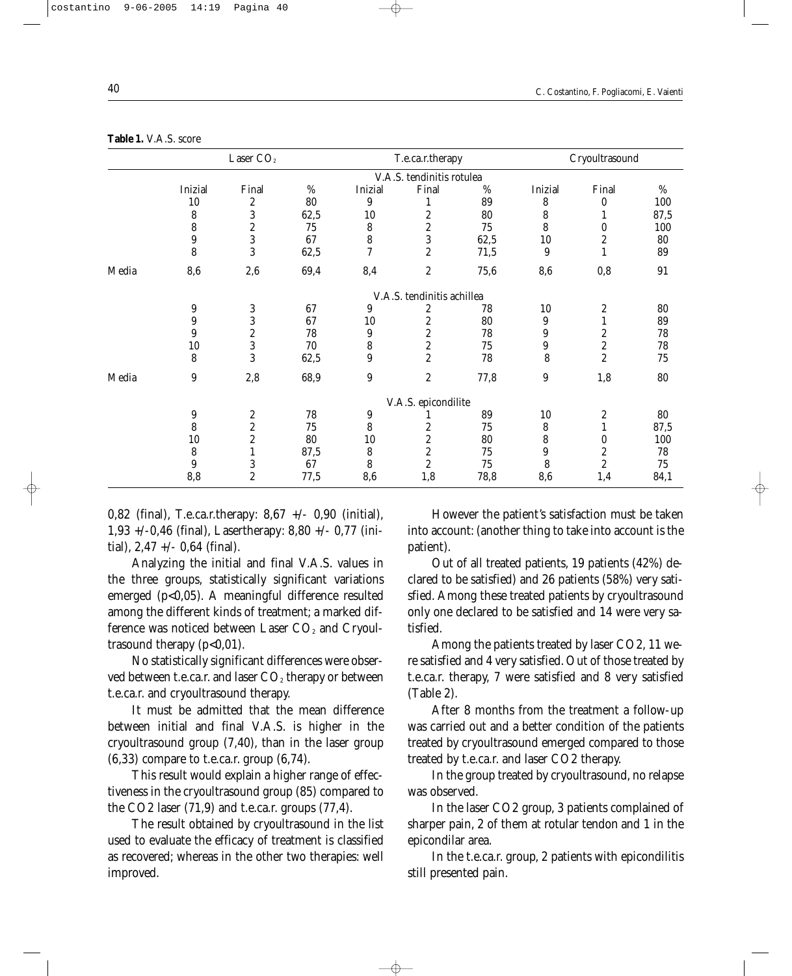|       | Laser CO <sub>2</sub>      |                  |      | T.e.ca.r.therapy         |                         |      | Cryoultrasound |                         |            |  |  |
|-------|----------------------------|------------------|------|--------------------------|-------------------------|------|----------------|-------------------------|------------|--|--|
|       | V.A.S. tendinitis rotulea  |                  |      |                          |                         |      |                |                         |            |  |  |
|       | Inizial                    | Final            | %    | Inizial                  | Final                   | %    | Inizial        | Final                   | %          |  |  |
|       | 10                         | $\boldsymbol{2}$ | 80   | 9                        |                         | 89   | 8              | $\bf{0}$                | 100        |  |  |
|       | 8                          | 3                | 62,5 | 10                       | 2                       | 80   | 8              |                         | 87,5       |  |  |
|       | 8                          | $\boldsymbol{2}$ | 75   | 8                        | $\boldsymbol{2}$        | 75   | 8              | 0                       | 100        |  |  |
|       | 9                          | $\overline{3}$   | 67   | 8                        | $\overline{3}$          | 62,5 | 10             | $\boldsymbol{2}$        | 80         |  |  |
|       | 8                          | 3                | 62,5 | $\overline{\mathcal{U}}$ | $\overline{c}$          | 71,5 | 9              | $\mathbf{1}$            | 89         |  |  |
| Media | 8,6                        | 2,6              | 69,4 | 8,4                      | $\overline{c}$          | 75,6 | 8,6            | 0,8                     | 91         |  |  |
|       | V.A.S. tendinitis achillea |                  |      |                          |                         |      |                |                         |            |  |  |
|       | 9                          | 3                | 67   | 9                        | $\boldsymbol{2}$        | 78   | 10             | 2                       | 80         |  |  |
|       | 9                          | 3                | 67   | 10                       | $\boldsymbol{2}$        | 80   | 9              | $\mathbf{1}$            | 89         |  |  |
|       | 9                          | $\boldsymbol{2}$ | 78   | 9                        | $\boldsymbol{2}$        | 78   | 9              | $\boldsymbol{2}$        | 78         |  |  |
|       | 10                         | 3                | 70   | 8                        | $\overline{\mathbf{c}}$ | 75   | 9              | $\overline{\mathbf{c}}$ | 78         |  |  |
|       | 8                          | 3                | 62,5 | 9                        | $\overline{c}$          | 78   | 8              | $\overline{c}$          | 75         |  |  |
| Media | 9                          | 2,8              | 68,9 | $\boldsymbol{9}$         | $\boldsymbol{2}$        | 77,8 | 9              | 1,8                     | ${\bf 80}$ |  |  |
|       | V.A.S. epicondilite        |                  |      |                          |                         |      |                |                         |            |  |  |
|       | 9                          | $\boldsymbol{2}$ | 78   | 9                        |                         | 89   | 10             | $\boldsymbol{2}$        | 80         |  |  |
|       | 8                          | $\boldsymbol{2}$ | 75   | 8                        | 2                       | 75   | 8              | $\mathbf{1}$            | 87,5       |  |  |
|       | 10                         | $\boldsymbol{2}$ | 80   | 10                       | 2                       | 80   | 8              | 0                       | 100        |  |  |
|       | 8                          | $\mathbf{1}$     | 87,5 | 8                        | $\boldsymbol{2}$        | 75   | 9              | $\boldsymbol{2}$        | 78         |  |  |
|       | 9                          | 3                | 67   | 8                        | $\overline{c}$          | 75   | 8              | $\overline{\mathbf{c}}$ | 75         |  |  |
|       | 8,8                        | $\overline{c}$   | 77,5 | 8,6                      | 1,8                     | 78,8 | 8,6            | 1,4                     | 84,1       |  |  |

**Table 1.** V.A.S. score

0,82 (final), T.e.ca.r.therapy: 8,67 +/- 0,90 (initial), 1,93 +/-0,46 (final), Lasertherapy: 8,80 +/- 0,77 (initial), 2,47 +/- 0,64 (final).

Analyzing the initial and final V.A.S. values in the three groups, statistically significant variations emerged (p<0,05). A meaningful difference resulted among the different kinds of treatment; a marked difference was noticed between Laser  $CO<sub>2</sub>$  and Cryoultrasound therapy  $(p<0,01)$ .

No statistically significant differences were observed between t.e.ca.r. and laser  $CO<sub>2</sub>$  therapy or between t.e.ca.r. and cryoultrasound therapy.

It must be admitted that the mean difference between initial and final V.A.S. is higher in the cryoultrasound group (7,40), than in the laser group (6,33) compare to t.e.ca.r. group (6,74).

This result would explain a higher range of effectiveness in the cryoultrasound group (85) compared to the CO2 laser (71,9) and t.e.ca.r. groups (77,4).

The result obtained by cryoultrasound in the list used to evaluate the efficacy of treatment is classified as recovered; whereas in the other two therapies: well improved.

However the patient's satisfaction must be taken into account: (another thing to take into account is the patient).

Out of all treated patients, 19 patients (42%) declared to be satisfied) and 26 patients (58%) very satisfied. Among these treated patients by cryoultrasound only one declared to be satisfied and 14 were very satisfied.

Among the patients treated by laser CO2, 11 were satisfied and 4 very satisfied. Out of those treated by t.e.ca.r. therapy, 7 were satisfied and 8 very satisfied (Table 2).

After 8 months from the treatment a follow-up was carried out and a better condition of the patients treated by cryoultrasound emerged compared to those treated by t.e.ca.r. and laser CO2 therapy.

In the group treated by cryoultrasound, no relapse was observed.

In the laser CO2 group, 3 patients complained of sharper pain, 2 of them at rotular tendon and 1 in the epicondilar area.

In the t.e.ca.r. group, 2 patients with epicondilitis still presented pain.